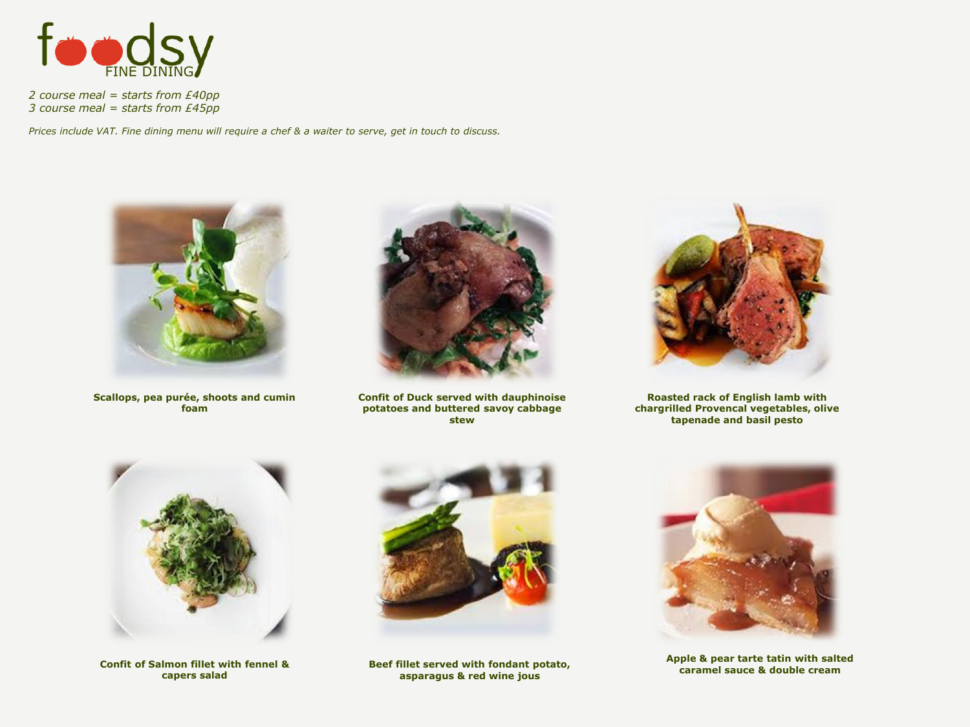

*2 course meal = starts from £40pp 3 course meal = starts from £45pp*

*Prices include VAT. Fine dining menu will require a chef & a waiter to serve, get in touch to discuss.* 



**Scallops, pea purée, shoots and cumin foam**



**Confit of Duck served with dauphinoise potatoes and buttered savoy cabbage stew**



**Roasted rack of English lamb with chargrilled Provencal vegetables, olive tapenade and basil pesto**



**Confit of Salmon fillet with fennel & capers salad**



**Beef fillet served with fondant potato, asparagus & red wine jous**



**Apple & pear tarte tatin with salted caramel sauce & double cream**